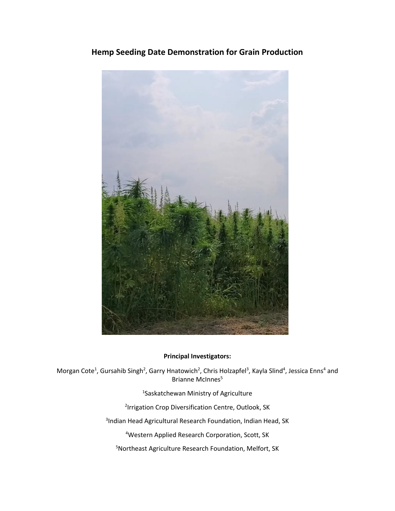# **Hemp Seeding Date Demonstration for Grain Production**



#### **Principal Investigators:**

Morgan Cote<sup>1</sup>, Gursahib Singh<sup>2</sup>, Garry Hnatowich<sup>2</sup>, Chris Holzapfel<sup>3</sup>, Kayla Slind<sup>4</sup>, Jessica Enns<sup>4</sup> and Brianne McInnes<sup>5</sup>

1 Saskatchewan Ministry of Agriculture

<sup>2</sup>Irrigation Crop Diversification Centre, Outlook, SK

3 Indian Head Agricultural Research Foundation, Indian Head, SK

<sup>4</sup>Western Applied Research Corporation, Scott, SK

<sup>5</sup>Northeast Agriculture Research Foundation, Melfort, SK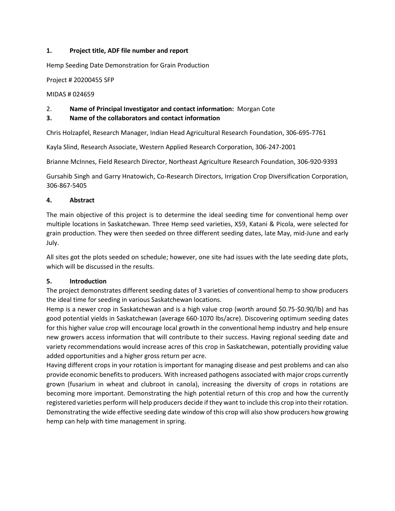#### **1. Project title, ADF file number and report**

Hemp Seeding Date Demonstration for Grain Production

Project # 20200455 SFP

MIDAS # 024659

# 2. **Name of Principal Investigator and contact information:** Morgan Cote

#### **3. Name of the collaborators and contact information**

Chris Holzapfel, Research Manager, Indian Head Agricultural Research Foundation, 306-695-7761

Kayla Slind, Research Associate, Western Applied Research Corporation, 306-247-2001

Brianne McInnes, Field Research Director, Northeast Agriculture Research Foundation, 306-920-9393

Gursahib Singh and Garry Hnatowich, Co-Research Directors, Irrigation Crop Diversification Corporation, 306-867-5405

#### **4. Abstract**

The main objective of this project is to determine the ideal seeding time for conventional hemp over multiple locations in Saskatchewan. Three Hemp seed varieties, X59, Katani & Picola, were selected for grain production. They were then seeded on three different seeding dates, late May, mid-June and early July.

All sites got the plots seeded on schedule; however, one site had issues with the late seeding date plots, which will be discussed in the results.

# **5. Introduction**

The project demonstrates different seeding dates of 3 varieties of conventional hemp to show producers the ideal time for seeding in various Saskatchewan locations.

Hemp is a newer crop in Saskatchewan and is a high value crop (worth around \$0.75-\$0.90/lb) and has good potential yields in Saskatchewan (average 660-1070 lbs/acre). Discovering optimum seeding dates for this higher value crop will encourage local growth in the conventional hemp industry and help ensure new growers access information that will contribute to their success. Having regional seeding date and variety recommendations would increase acres of this crop in Saskatchewan, potentially providing value added opportunities and a higher gross return per acre.

Having different crops in your rotation is important for managing disease and pest problems and can also provide economic benefits to producers. With increased pathogens associated with major crops currently grown (fusarium in wheat and clubroot in canola), increasing the diversity of crops in rotations are becoming more important. Demonstrating the high potential return of this crop and how the currently registered varieties perform will help producers decide if they want to include this crop into their rotation. Demonstrating the wide effective seeding date window of this crop will also show producers how growing hemp can help with time management in spring.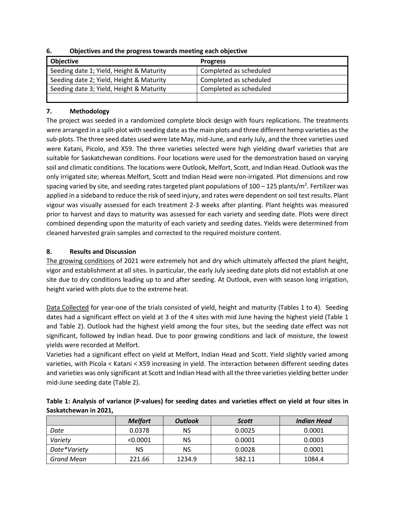| <b>Objective</b>                         | <b>Progress</b>        |
|------------------------------------------|------------------------|
| Seeding date 1; Yield, Height & Maturity | Completed as scheduled |
| Seeding date 2; Yield, Height & Maturity | Completed as scheduled |
| Seeding date 3; Yield, Height & Maturity | Completed as scheduled |
|                                          |                        |

**6. Objectives and the progress towards meeting each objective**

# **7. Methodology**

The project was seeded in a randomized complete block design with fours replications. The treatments were arranged in a split-plot with seeding date as the main plots and three different hemp varieties as the sub-plots. The three seed dates used were late May, mid-June, and early July, and the three varieties used were Katani, Picolo, and X59. The three varieties selected were high yielding dwarf varieties that are suitable for Saskatchewan conditions. Four locations were used for the demonstration based on varying soil and climatic conditions. The locations were Outlook, Melfort, Scott, and Indian Head. Outlook was the only irrigated site; whereas Melfort, Scott and Indian Head were non-irrigated. Plot dimensions and row spacing varied by site, and seeding rates targeted plant populations of 100 – 125 plants/m<sup>2</sup>. Fertilizer was applied in a sideband to reduce the risk of seed injury, and rates were dependent on soil test results. Plant vigour was visually assessed for each treatment 2-3 weeks after planting. Plant heights was measured prior to harvest and days to maturity was assessed for each variety and seeding date. Plots were direct combined depending upon the maturity of each variety and seeding dates. Yields were determined from cleaned harvested grain samples and corrected to the required moisture content.

# **8. Results and Discussion**

The growing conditions of 2021 were extremely hot and dry which ultimately affected the plant height, vigor and establishment at all sites. In particular, the early July seeding date plots did not establish at one site due to dry conditions leading up to and after seeding. At Outlook, even with season long irrigation, height varied with plots due to the extreme heat.

Data Collected for year-one of the trials consisted of yield, height and maturity (Tables 1 to 4). Seeding dates had a significant effect on yield at 3 of the 4 sites with mid June having the highest yield (Table 1 and Table 2). Outlook had the highest yield among the four sites, but the seeding date effect was not significant, followed by Indian head. Due to poor growing conditions and lack of moisture, the lowest yields were recorded at Melfort.

Varieties had a significant effect on yield at Melfort, Indian Head and Scott. Yield slightly varied among varieties, with Picola < Katani < X59 increasing in yield. The interaction between different seeding dates and varieties was only significant at Scott and Indian Head with all the three varieties yielding better under mid-June seeding date (Table 2).

|                   | <b>Melfort</b> | <b>Outlook</b> | <b>Scott</b> | <b>Indian Head</b> |
|-------------------|----------------|----------------|--------------|--------------------|
|                   |                |                |              |                    |
| Date              | 0.0378         | ΝS             | 0.0025       | 0.0001             |
| Variety           | < 0.0001       | ΝS             | 0.0001       | 0.0003             |
| Date*Variety      | NS             | <b>NS</b>      | 0.0028       | 0.0001             |
| <b>Grand Mean</b> | 221.66         | 1234.9         | 582.11       | 1084.4             |

| Table 1: Analysis of variance (P-values) for seeding dates and varieties effect on yield at four sites in |  |
|-----------------------------------------------------------------------------------------------------------|--|
| Saskatchewan in 2021,                                                                                     |  |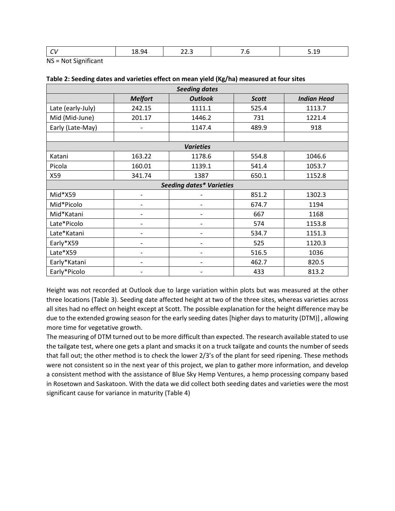| ___ | --- | . .<br>_____ | .<br>___ |
|-----|-----|--------------|----------|
|     |     |              |          |

NS = Not Significant

| <b>Seeding dates</b>            |                          |                              |              |                    |  |  |
|---------------------------------|--------------------------|------------------------------|--------------|--------------------|--|--|
|                                 | <b>Melfort</b>           | <b>Outlook</b>               | <b>Scott</b> | <b>Indian Head</b> |  |  |
| Late (early-July)               | 242.15                   | 1111.1                       | 525.4        | 1113.7             |  |  |
| Mid (Mid-June)                  | 201.17                   | 1446.2                       | 731          | 1221.4             |  |  |
| Early (Late-May)                |                          | 1147.4                       | 489.9        | 918                |  |  |
|                                 |                          |                              |              |                    |  |  |
|                                 |                          | <b>Varieties</b>             |              |                    |  |  |
| Katani                          | 163.22                   | 1178.6                       | 554.8        | 1046.6             |  |  |
| Picola                          | 160.01                   | 1139.1                       | 541.4        | 1053.7             |  |  |
| X59                             | 341.74                   | 1387                         | 650.1        | 1152.8             |  |  |
| <b>Seeding dates* Varieties</b> |                          |                              |              |                    |  |  |
| Mid*X59                         |                          |                              | 851.2        | 1302.3             |  |  |
| Mid*Picolo                      |                          | $\overline{a}$               | 674.7        | 1194               |  |  |
| Mid*Katani                      |                          | -                            | 667          | 1168               |  |  |
| Late*Picolo                     | $\overline{\phantom{a}}$ | $\qquad \qquad \blacksquare$ | 574          | 1153.8             |  |  |
| Late*Katani                     |                          | -                            | 534.7        | 1151.3             |  |  |
| Early*X59                       |                          | -                            | 525          | 1120.3             |  |  |
| Late*X59                        |                          | $\overline{a}$               | 516.5        | 1036               |  |  |
| Early*Katani                    |                          | -                            | 462.7        | 820.5              |  |  |
| Early*Picolo                    |                          |                              | 433          | 813.2              |  |  |

#### **Table 2: Seeding dates and varieties effect on mean yield (Kg/ha) measured at four sites**

Height was not recorded at Outlook due to large variation within plots but was measured at the other three locations (Table 3). Seeding date affected height at two of the three sites, whereas varieties across all sites had no effect on height except at Scott. The possible explanation for the height difference may be due to the extended growing season for the early seeding dates [higher days to maturity (DTM)] , allowing more time for vegetative growth.

The measuring of DTM turned out to be more difficult than expected. The research available stated to use the tailgate test, where one gets a plant and smacks it on a truck tailgate and counts the number of seeds that fall out; the other method is to check the lower 2/3's of the plant for seed ripening. These methods were not consistent so in the next year of this project, we plan to gather more information, and develop a consistent method with the assistance of Blue Sky Hemp Ventures, a hemp processing company based in Rosetown and Saskatoon. With the data we did collect both seeding dates and varieties were the most significant cause for variance in maturity (Table 4)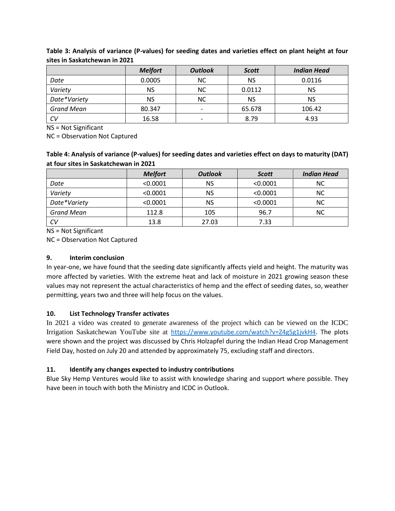|              | <b>Melfort</b> | <b>Outlook</b>           | <b>Scott</b> | <b>Indian Head</b> |
|--------------|----------------|--------------------------|--------------|--------------------|
| Date         | 0.0005         | ΝC                       | <b>NS</b>    | 0.0116             |
| Variety      | NS.            | NC.                      | 0.0112       | NS                 |
| Date*Variety | NS.            | NC.                      | <b>NS</b>    | ΝS                 |
| Grand Mean   | 80.347         | $\overline{\phantom{a}}$ | 65.678       | 106.42             |
| CV           | 16.58          | ٠                        | 8.79         | 4.93               |

**Table 3: Analysis of variance (P-values) for seeding dates and varieties effect on plant height at four sites in Saskatchewan in 2021**

NS = Not Significant

NC = Observation Not Captured

# **Table 4: Analysis of variance (P-values) for seeding dates and varieties effect on days to maturity (DAT) at four sites in Saskatchewan in 2021**

|                   | <b>Melfort</b> | <b>Outlook</b> | <b>Scott</b> | <b>Indian Head</b> |
|-------------------|----------------|----------------|--------------|--------------------|
| Date              | < 0.0001       | NS             | < 0.0001     | <b>NC</b>          |
| Variety           | < 0.0001       | NS             | < 0.0001     | <b>NC</b>          |
| Date*Variety      | < 0.0001       | NS             | < 0.0001     | <b>NC</b>          |
| <b>Grand Mean</b> | 112.8          | 105            | 96.7         | <b>NC</b>          |
| CV                | 13.8           | 27.03          | 7.33         |                    |

NS = Not Significant

NC = Observation Not Captured

# **9. Interim conclusion**

In year-one, we have found that the seeding date significantly affects yield and height. The maturity was more affected by varieties. With the extreme heat and lack of moisture in 2021 growing season these values may not represent the actual characteristics of hemp and the effect of seeding dates, so, weather permitting, years two and three will help focus on the values.

# **10. List Technology Transfer activates**

In 2021 a video was created to generate awareness of the project which can be viewed on the ICDC Irrigation Saskatchewan YouTube site at [https://www.youtube.com/watch?v=Z4g5g1jvkH4.](https://www.youtube.com/watch?v=Z4g5g1jvkH4) The plots were shown and the project was discussed by Chris Holzapfel during the Indian Head Crop Management Field Day, hosted on July 20 and attended by approximately 75, excluding staff and directors.

# **11. Identify any changes expected to industry contributions**

Blue Sky Hemp Ventures would like to assist with knowledge sharing and support where possible. They have been in touch with both the Ministry and ICDC in Outlook.